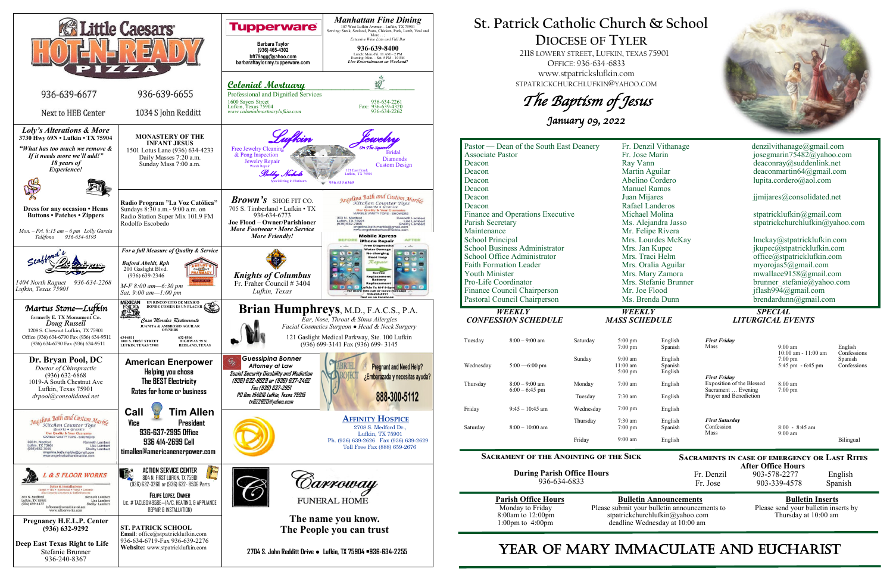

**After Office Hours**<br>Fr. Denzil 903-578-2277 903-578-2277 English Fr. Jose 903-339-4578 Spanish

# **St. Patrick Catholic Church & School DIOCESE OF TYLER**

 2118 LOWERY STREET, LUFKIN, TEXAS 75901 OFFICE: 936-634-6833 www.stpatrickslufkin.com STPATRICKCHURCHLUFKIN@YAHOO.COM

The Baptism of Jesus

January 09, 2022

| Pastor — Dean of the South East Deanery<br><b>Associate Pastor</b><br>Deacon<br>Deacon<br>Deacon |                            |           | Fr. Denzil Vithanage<br>Fr. Jose Marin<br>Ray Vann<br>Martin Aguilar<br>Abelino Cordero |                    | denzilvithanage@gmail.com<br>josegmarin75482@yahoo.com<br>deaconray@suddenlink.net<br>deaconmartin $64@g$ mail.com<br>lupita.cordero@aol.com |                                          |                        |
|--------------------------------------------------------------------------------------------------|----------------------------|-----------|-----------------------------------------------------------------------------------------|--------------------|----------------------------------------------------------------------------------------------------------------------------------------------|------------------------------------------|------------------------|
| Deacon                                                                                           |                            |           | <b>Manuel Ramos</b>                                                                     |                    |                                                                                                                                              |                                          |                        |
| Deacon<br>Deacon                                                                                 |                            |           | Juan Mijares<br>Rafael Landeros                                                         |                    | jjmijares@consolidated.net                                                                                                                   |                                          |                        |
| Finance and Operations Executive                                                                 |                            |           | Michael Molina                                                                          |                    | stpatricklufkin@gmail.com                                                                                                                    |                                          |                        |
| Parish Secretary                                                                                 |                            |           | Ms. Alejandra Jasso                                                                     |                    | stpatrickchurchlufkin@yahoo.com                                                                                                              |                                          |                        |
| Maintenance                                                                                      |                            |           | Mr. Felipe Rivera                                                                       |                    |                                                                                                                                              |                                          |                        |
| <b>School Principal</b>                                                                          |                            |           | Mrs. Lourdes McKay                                                                      |                    | lmckay@stpatricklufkin.com                                                                                                                   |                                          |                        |
| School Business Administrator                                                                    |                            |           | Mrs. Jan Kupec                                                                          |                    | jkupec@stpatricklufkin.com                                                                                                                   |                                          |                        |
| School Office Administrator                                                                      |                            |           | Mrs. Traci Helm                                                                         |                    | office@stpatricklufkin.com                                                                                                                   |                                          |                        |
| <b>Faith Formation Leader</b>                                                                    |                            |           | Mrs. Oralia Aguilar                                                                     |                    | myorojas5@gmail.com                                                                                                                          |                                          |                        |
| <b>Youth Minister</b>                                                                            |                            |           | Mrs. Mary Zamora                                                                        |                    | mwallace9158@gmail.com                                                                                                                       |                                          |                        |
| Pro-Life Coordinator                                                                             |                            |           | Mrs. Stefanie Brunner                                                                   |                    | brunner stefanie@yahoo.com                                                                                                                   |                                          |                        |
| Finance Council Chairperson                                                                      |                            |           | Mr. Joe Flood                                                                           |                    | jflash994@gmail.com                                                                                                                          |                                          |                        |
| Pastoral Council Chairperson                                                                     |                            |           | Ms. Brenda Dunn                                                                         |                    | $b$ rendardunn@gmail.com                                                                                                                     |                                          |                        |
|                                                                                                  |                            |           |                                                                                         |                    |                                                                                                                                              |                                          |                        |
|                                                                                                  | WEEKLY                     |           | WEEKLY                                                                                  |                    |                                                                                                                                              | <b>SPECIAL</b>                           |                        |
|                                                                                                  | <b>CONFESSION SCHEDULE</b> |           | <b>MASS SCHEDULE</b>                                                                    |                    |                                                                                                                                              | <b>LITURGICAL EVENTS</b>                 |                        |
|                                                                                                  |                            |           |                                                                                         |                    |                                                                                                                                              |                                          |                        |
| Tuesday                                                                                          | $8:00 - 9:00$ am           | Saturday  | 5:00 pm                                                                                 | English            | <b>First Friday</b>                                                                                                                          |                                          |                        |
|                                                                                                  |                            |           | 7:00 pm                                                                                 | Spanish            | Mass                                                                                                                                         | $9:00$ am                                | English                |
|                                                                                                  |                            | Sunday    | $9:00 \text{ am}$                                                                       | English            |                                                                                                                                              | 10:00 am - 11:00 am<br>$7:00 \text{ pm}$ | Confessions<br>Spanish |
| Wednesday                                                                                        | $5:00 - 6:00$ pm           |           | $11:00$ am                                                                              | Spanish            |                                                                                                                                              | 5:45 pm - 6:45 pm                        | Confessions            |
|                                                                                                  |                            |           | $5:00$ pm                                                                               | English            | <b>First Friday</b>                                                                                                                          |                                          |                        |
| Thursday                                                                                         | $8:00 - 9:00$ am           | Monday    | $7:00$ am                                                                               | English            | Exposition of the Blessed                                                                                                                    | 8:00 am                                  |                        |
|                                                                                                  | $6:00 - 6:45$ pm           | Tuesday   | $7:30$ am                                                                               | English            | Sacrament  Evening<br>Prayer and Benediction                                                                                                 | $7:00$ pm                                |                        |
| Friday                                                                                           | $9:45 - 10:45$ am          | Wednesday | 7:00 pm                                                                                 | English            |                                                                                                                                              |                                          |                        |
| Saturday                                                                                         | $8:00 - 10:00$ am          | Thursday  | 7:30 am<br>$7:00$ pm                                                                    | English<br>Spanish | <b>First Saturday</b><br>Confession<br>Mass                                                                                                  | $8:00 - 8:45$ am<br>$9:00 \text{ am}$    |                        |

### **Sacrament of the Anointing of the Sick**

**During Parish Office Hours**  936-634-6833

**Parish Office Hours Bulletin Announcements**<br>Please submit your bulletin announcements to Please send your bulletin inserts by Please submit your bulletin announcements to stpatrickchurchlufkin@yahoo.com Thursday at 10:00 am deadline Wednesday at 10:00 am

# YEAR OF MARY IMMACULATE AND EUCHARIST



**Sacraments in case of emergency or Last Rites**